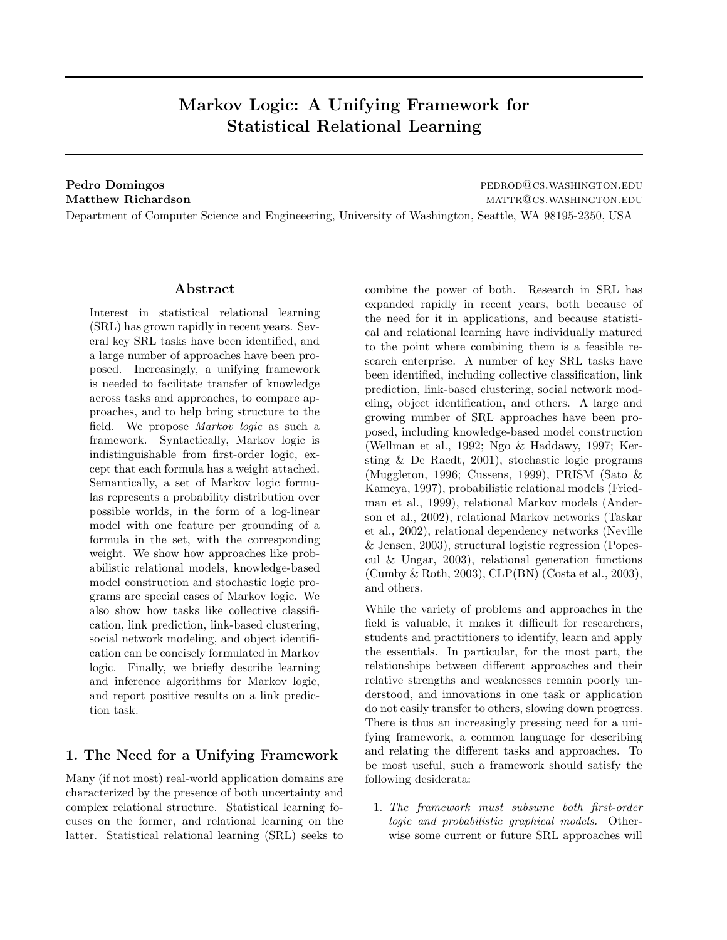# Markov Logic: A Unifying Framework for Statistical Relational Learning

Pedro Domingos **pedrodace pedrodoming and pedrodace pedrod** pedrodoming pedrodoming pedrodoming pedrodoming pedro Matthew Richardson matthew Richardson matthew Richardson matthew Richardson matthew Richardson matthew  $\mathbf{M}$ 

Department of Computer Science and Engineeering, University of Washington, Seattle, WA 98195-2350, USA

### Abstract

Interest in statistical relational learning (SRL) has grown rapidly in recent years. Several key SRL tasks have been identified, and a large number of approaches have been proposed. Increasingly, a unifying framework is needed to facilitate transfer of knowledge across tasks and approaches, to compare approaches, and to help bring structure to the field. We propose Markov logic as such a framework. Syntactically, Markov logic is indistinguishable from first-order logic, except that each formula has a weight attached. Semantically, a set of Markov logic formulas represents a probability distribution over possible worlds, in the form of a log-linear model with one feature per grounding of a formula in the set, with the corresponding weight. We show how approaches like probabilistic relational models, knowledge-based model construction and stochastic logic programs are special cases of Markov logic. We also show how tasks like collective classification, link prediction, link-based clustering, social network modeling, and object identification can be concisely formulated in Markov logic. Finally, we briefly describe learning and inference algorithms for Markov logic, and report positive results on a link prediction task.

# 1. The Need for a Unifying Framework

Many (if not most) real-world application domains are characterized by the presence of both uncertainty and complex relational structure. Statistical learning focuses on the former, and relational learning on the latter. Statistical relational learning (SRL) seeks to combine the power of both. Research in SRL has expanded rapidly in recent years, both because of the need for it in applications, and because statistical and relational learning have individually matured to the point where combining them is a feasible research enterprise. A number of key SRL tasks have been identified, including collective classification, link prediction, link-based clustering, social network modeling, object identification, and others. A large and growing number of SRL approaches have been proposed, including knowledge-based model construction (Wellman et al., 1992; Ngo & Haddawy, 1997; Kersting & De Raedt, 2001), stochastic logic programs (Muggleton, 1996; Cussens, 1999), PRISM (Sato & Kameya, 1997), probabilistic relational models (Friedman et al., 1999), relational Markov models (Anderson et al., 2002), relational Markov networks (Taskar et al., 2002), relational dependency networks (Neville & Jensen, 2003), structural logistic regression (Popescul & Ungar, 2003), relational generation functions (Cumby & Roth, 2003), CLP(BN) (Costa et al., 2003), and others.

While the variety of problems and approaches in the field is valuable, it makes it difficult for researchers, students and practitioners to identify, learn and apply the essentials. In particular, for the most part, the relationships between different approaches and their relative strengths and weaknesses remain poorly understood, and innovations in one task or application do not easily transfer to others, slowing down progress. There is thus an increasingly pressing need for a unifying framework, a common language for describing and relating the different tasks and approaches. To be most useful, such a framework should satisfy the following desiderata:

1. The framework must subsume both first-order logic and probabilistic graphical models. Otherwise some current or future SRL approaches will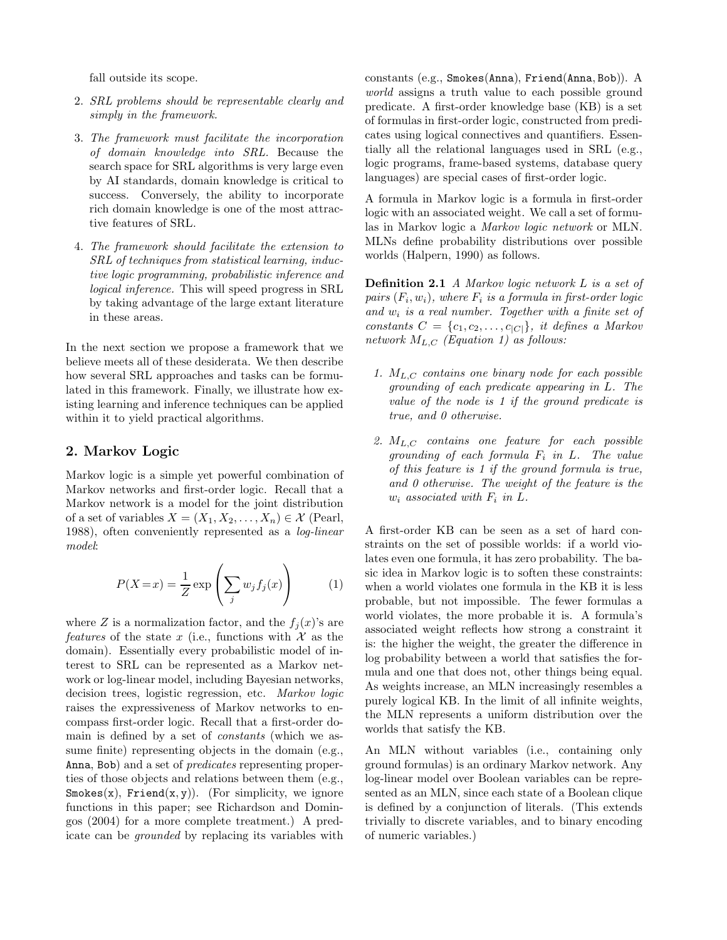fall outside its scope.

- 2. SRL problems should be representable clearly and simply in the framework.
- 3. The framework must facilitate the incorporation of domain knowledge into SRL. Because the search space for SRL algorithms is very large even by AI standards, domain knowledge is critical to success. Conversely, the ability to incorporate rich domain knowledge is one of the most attractive features of SRL.
- 4. The framework should facilitate the extension to SRL of techniques from statistical learning, inductive logic programming, probabilistic inference and logical inference. This will speed progress in SRL by taking advantage of the large extant literature in these areas.

In the next section we propose a framework that we believe meets all of these desiderata. We then describe how several SRL approaches and tasks can be formulated in this framework. Finally, we illustrate how existing learning and inference techniques can be applied within it to yield practical algorithms.

# 2. Markov Logic

Markov logic is a simple yet powerful combination of Markov networks and first-order logic. Recall that a Markov network is a model for the joint distribution of a set of variables  $X = (X_1, X_2, \ldots, X_n) \in \mathcal{X}$  (Pearl, 1988), often conveniently represented as a log-linear model:

$$
P(X=x) = \frac{1}{Z} \exp\left(\sum_{j} w_j f_j(x)\right) \tag{1}
$$

where Z is a normalization factor, and the  $f_i(x)$ 's are *features* of the state x (i.e., functions with  $\mathcal X$  as the domain). Essentially every probabilistic model of interest to SRL can be represented as a Markov network or log-linear model, including Bayesian networks, decision trees, logistic regression, etc. Markov logic raises the expressiveness of Markov networks to encompass first-order logic. Recall that a first-order domain is defined by a set of constants (which we assume finite) representing objects in the domain (e.g., Anna, Bob) and a set of predicates representing properties of those objects and relations between them (e.g.,  $Smokes(x),$  Friend $(x, y)$ . (For simplicity, we ignore functions in this paper; see Richardson and Domingos (2004) for a more complete treatment.) A predicate can be grounded by replacing its variables with constants (e.g., Smokes(Anna), Friend(Anna, Bob)). A world assigns a truth value to each possible ground predicate. A first-order knowledge base (KB) is a set of formulas in first-order logic, constructed from predicates using logical connectives and quantifiers. Essentially all the relational languages used in SRL (e.g., logic programs, frame-based systems, database query languages) are special cases of first-order logic.

A formula in Markov logic is a formula in first-order logic with an associated weight. We call a set of formulas in Markov logic a Markov logic network or MLN. MLNs define probability distributions over possible worlds (Halpern, 1990) as follows.

**Definition 2.1** A Markov logic network L is a set of  $pairs (F_i, w_i), where F_i is a formula in first-order logic$ and  $w_i$  is a real number. Together with a finite set of constants  $C = \{c_1, c_2, \ldots, c_{|C|}\},\$  it defines a Markov network  $M_{L,C}$  (Equation 1) as follows:

- 1.  $M_{L,C}$  contains one binary node for each possible grounding of each predicate appearing in L. The value of the node is 1 if the ground predicate is true, and 0 otherwise.
- 2.  $M_{L,C}$  contains one feature for each possible grounding of each formula  $F_i$  in  $L$ . The value of this feature is 1 if the ground formula is true, and 0 otherwise. The weight of the feature is the  $w_i$  associated with  $F_i$  in  $L$ .

A first-order KB can be seen as a set of hard constraints on the set of possible worlds: if a world violates even one formula, it has zero probability. The basic idea in Markov logic is to soften these constraints: when a world violates one formula in the KB it is less probable, but not impossible. The fewer formulas a world violates, the more probable it is. A formula's associated weight reflects how strong a constraint it is: the higher the weight, the greater the difference in log probability between a world that satisfies the formula and one that does not, other things being equal. As weights increase, an MLN increasingly resembles a purely logical KB. In the limit of all infinite weights, the MLN represents a uniform distribution over the worlds that satisfy the KB.

An MLN without variables (i.e., containing only ground formulas) is an ordinary Markov network. Any log-linear model over Boolean variables can be represented as an MLN, since each state of a Boolean clique is defined by a conjunction of literals. (This extends trivially to discrete variables, and to binary encoding of numeric variables.)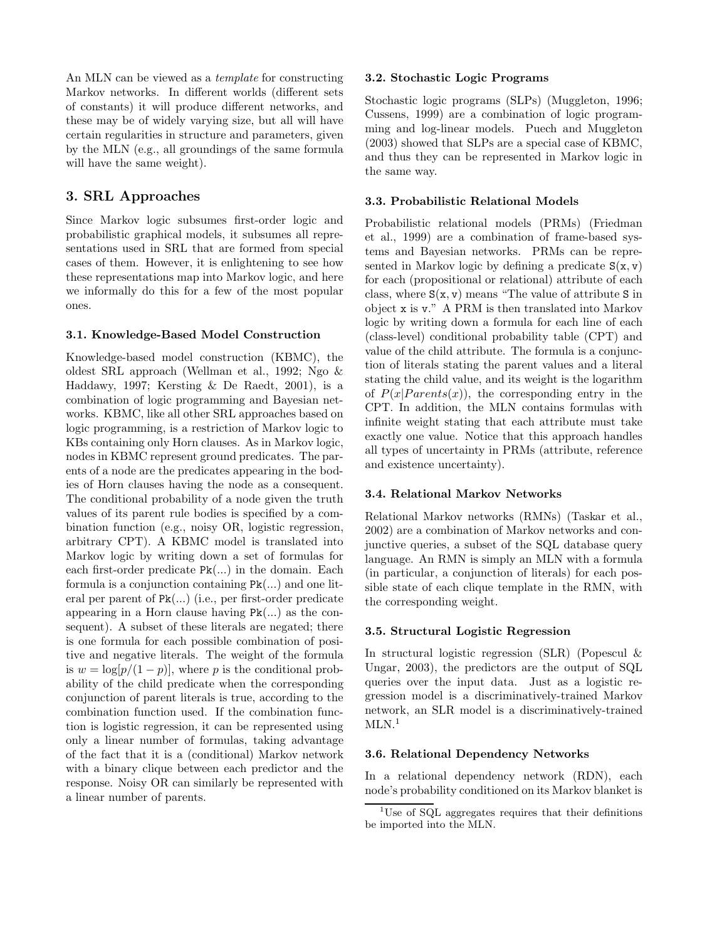An MLN can be viewed as a template for constructing Markov networks. In different worlds (different sets of constants) it will produce different networks, and these may be of widely varying size, but all will have certain regularities in structure and parameters, given by the MLN (e.g., all groundings of the same formula will have the same weight).

# 3. SRL Approaches

Since Markov logic subsumes first-order logic and probabilistic graphical models, it subsumes all representations used in SRL that are formed from special cases of them. However, it is enlightening to see how these representations map into Markov logic, and here we informally do this for a few of the most popular ones.

### 3.1. Knowledge-Based Model Construction

Knowledge-based model construction (KBMC), the oldest SRL approach (Wellman et al., 1992; Ngo & Haddawy, 1997; Kersting & De Raedt, 2001), is a combination of logic programming and Bayesian networks. KBMC, like all other SRL approaches based on logic programming, is a restriction of Markov logic to KBs containing only Horn clauses. As in Markov logic, nodes in KBMC represent ground predicates. The parents of a node are the predicates appearing in the bodies of Horn clauses having the node as a consequent. The conditional probability of a node given the truth values of its parent rule bodies is specified by a combination function (e.g., noisy OR, logistic regression, arbitrary CPT). A KBMC model is translated into Markov logic by writing down a set of formulas for each first-order predicate Pk(...) in the domain. Each formula is a conjunction containing  $P_k(...)$  and one literal per parent of Pk(...) (i.e., per first-order predicate appearing in a Horn clause having  $Pk(...)$  as the consequent). A subset of these literals are negated; there is one formula for each possible combination of positive and negative literals. The weight of the formula is  $w = \log[p/(1-p)]$ , where p is the conditional probability of the child predicate when the corresponding conjunction of parent literals is true, according to the combination function used. If the combination function is logistic regression, it can be represented using only a linear number of formulas, taking advantage of the fact that it is a (conditional) Markov network with a binary clique between each predictor and the response. Noisy OR can similarly be represented with a linear number of parents.

### 3.2. Stochastic Logic Programs

Stochastic logic programs (SLPs) (Muggleton, 1996; Cussens, 1999) are a combination of logic programming and log-linear models. Puech and Muggleton (2003) showed that SLPs are a special case of KBMC, and thus they can be represented in Markov logic in the same way.

### 3.3. Probabilistic Relational Models

Probabilistic relational models (PRMs) (Friedman et al., 1999) are a combination of frame-based systems and Bayesian networks. PRMs can be represented in Markov logic by defining a predicate  $S(x, v)$ for each (propositional or relational) attribute of each class, where  $S(x, v)$  means "The value of attribute S in object x is v." A PRM is then translated into Markov logic by writing down a formula for each line of each (class-level) conditional probability table (CPT) and value of the child attribute. The formula is a conjunction of literals stating the parent values and a literal stating the child value, and its weight is the logarithm of  $P(x|Parents(x))$ , the corresponding entry in the CPT. In addition, the MLN contains formulas with infinite weight stating that each attribute must take exactly one value. Notice that this approach handles all types of uncertainty in PRMs (attribute, reference and existence uncertainty).

### 3.4. Relational Markov Networks

Relational Markov networks (RMNs) (Taskar et al., 2002) are a combination of Markov networks and conjunctive queries, a subset of the SQL database query language. An RMN is simply an MLN with a formula (in particular, a conjunction of literals) for each possible state of each clique template in the RMN, with the corresponding weight.

### 3.5. Structural Logistic Regression

In structural logistic regression (SLR) (Popescul & Ungar, 2003), the predictors are the output of SQL queries over the input data. Just as a logistic regression model is a discriminatively-trained Markov network, an SLR model is a discriminatively-trained  $MLN.<sup>1</sup>$ 

#### 3.6. Relational Dependency Networks

In a relational dependency network (RDN), each node's probability conditioned on its Markov blanket is

<sup>&</sup>lt;sup>1</sup>Use of SQL aggregates requires that their definitions be imported into the MLN.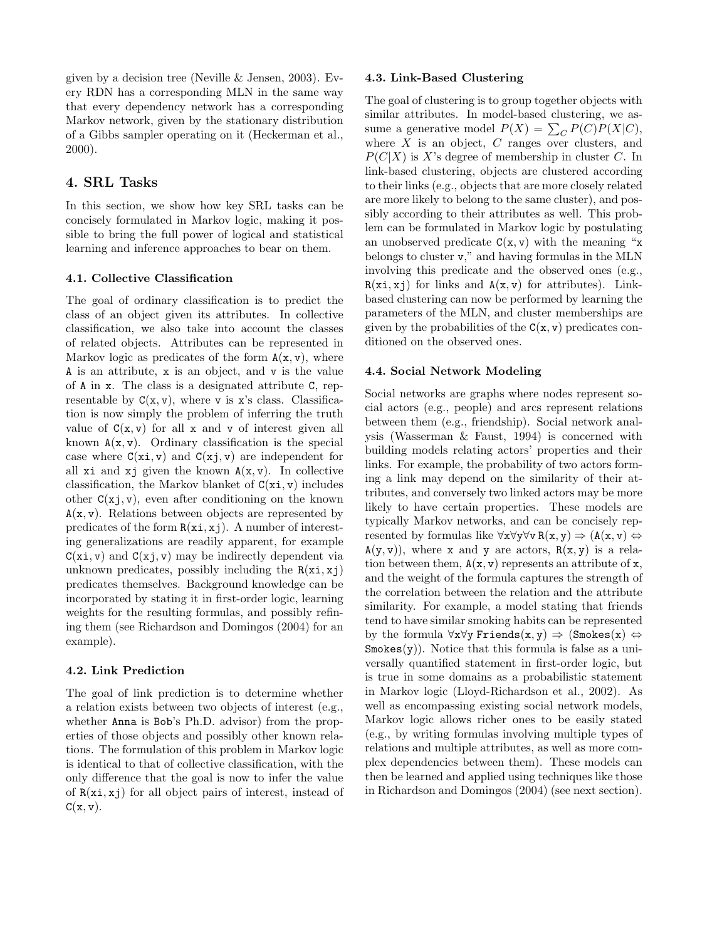given by a decision tree (Neville & Jensen, 2003). Every RDN has a corresponding MLN in the same way that every dependency network has a corresponding Markov network, given by the stationary distribution of a Gibbs sampler operating on it (Heckerman et al., 2000).

# 4. SRL Tasks

In this section, we show how key SRL tasks can be concisely formulated in Markov logic, making it possible to bring the full power of logical and statistical learning and inference approaches to bear on them.

### 4.1. Collective Classification

The goal of ordinary classification is to predict the class of an object given its attributes. In collective classification, we also take into account the classes of related objects. Attributes can be represented in Markov logic as predicates of the form  $A(x, y)$ , where A is an attribute, x is an object, and v is the value of A in x. The class is a designated attribute C, representable by  $C(x, v)$ , where v is x's class. Classification is now simply the problem of inferring the truth value of  $C(x, y)$  for all x and v of interest given all known  $A(x, y)$ . Ordinary classification is the special case where  $C(x_i, v)$  and  $C(x_j, v)$  are independent for all xi and xj given the known  $A(x, v)$ . In collective classification, the Markov blanket of  $C(x_i, v)$  includes other  $C(x, j, v)$ , even after conditioning on the known  $A(x, y)$ . Relations between objects are represented by predicates of the form  $R(x_i, x_j)$ . A number of interesting generalizations are readily apparent, for example  $C(x_i, v)$  and  $C(x_i, v)$  may be indirectly dependent via unknown predicates, possibly including the  $R(x_i, x_j)$ predicates themselves. Background knowledge can be incorporated by stating it in first-order logic, learning weights for the resulting formulas, and possibly refining them (see Richardson and Domingos (2004) for an example).

### 4.2. Link Prediction

The goal of link prediction is to determine whether a relation exists between two objects of interest (e.g., whether Anna is Bob's Ph.D. advisor) from the properties of those objects and possibly other known relations. The formulation of this problem in Markov logic is identical to that of collective classification, with the only difference that the goal is now to infer the value of  $R(x_i, x_j)$  for all object pairs of interest, instead of  $C(x, v)$ .

### 4.3. Link-Based Clustering

The goal of clustering is to group together objects with similar attributes. In model-based clustering, we assume a generative model  $P(X) = \sum_{C} P(C)P(X|C)$ , where  $X$  is an object,  $C$  ranges over clusters, and  $P(C|X)$  is X's degree of membership in cluster C. In link-based clustering, objects are clustered according to their links (e.g., objects that are more closely related are more likely to belong to the same cluster), and possibly according to their attributes as well. This problem can be formulated in Markov logic by postulating an unobserved predicate  $C(x, v)$  with the meaning "x belongs to cluster v," and having formulas in the MLN involving this predicate and the observed ones (e.g.,  $R(x_i, x_j)$  for links and  $A(x, y)$  for attributes). Linkbased clustering can now be performed by learning the parameters of the MLN, and cluster memberships are given by the probabilities of the  $C(x, v)$  predicates conditioned on the observed ones.

## 4.4. Social Network Modeling

Social networks are graphs where nodes represent social actors (e.g., people) and arcs represent relations between them (e.g., friendship). Social network analysis (Wasserman & Faust, 1994) is concerned with building models relating actors' properties and their links. For example, the probability of two actors forming a link may depend on the similarity of their attributes, and conversely two linked actors may be more likely to have certain properties. These models are typically Markov networks, and can be concisely represented by formulas like  $\forall x \forall y \forall v R(x, y) \Rightarrow (A(x, v) \Leftrightarrow$  $A(y, y)$ , where x and y are actors,  $R(x, y)$  is a relation between them,  $A(x, y)$  represents an attribute of x, and the weight of the formula captures the strength of the correlation between the relation and the attribute similarity. For example, a model stating that friends tend to have similar smoking habits can be represented by the formula  $\forall x \forall y$  Friends $(x, y) \Rightarrow (\text{Smokes}(x) \Leftrightarrow$  $Smokes(y)$ . Notice that this formula is false as a universally quantified statement in first-order logic, but is true in some domains as a probabilistic statement in Markov logic (Lloyd-Richardson et al., 2002). As well as encompassing existing social network models, Markov logic allows richer ones to be easily stated (e.g., by writing formulas involving multiple types of relations and multiple attributes, as well as more complex dependencies between them). These models can then be learned and applied using techniques like those in Richardson and Domingos (2004) (see next section).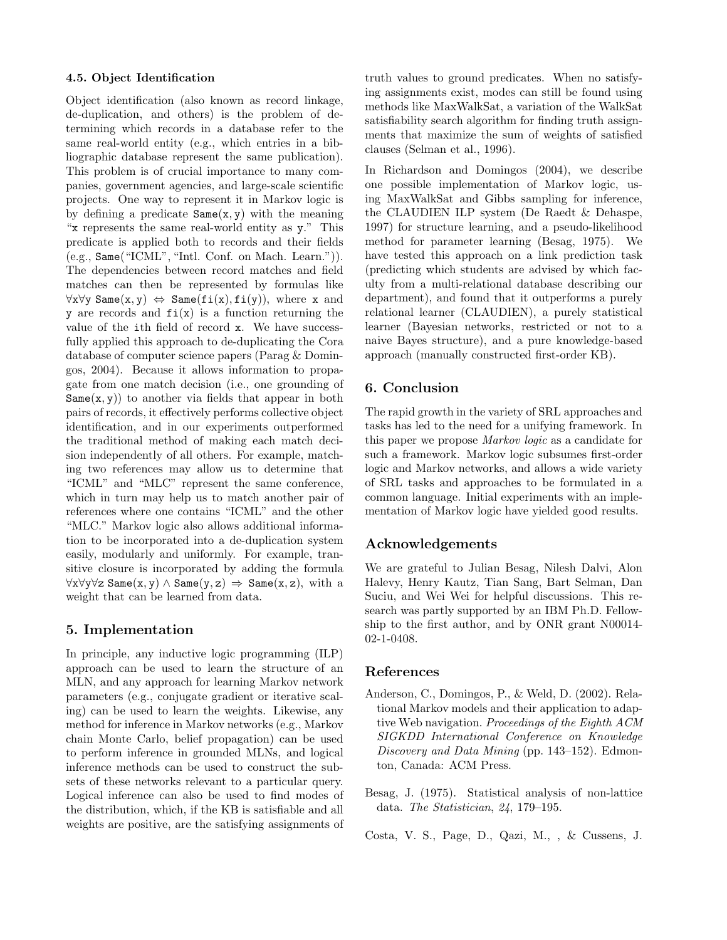### 4.5. Object Identification

Object identification (also known as record linkage, de-duplication, and others) is the problem of determining which records in a database refer to the same real-world entity (e.g., which entries in a bibliographic database represent the same publication). This problem is of crucial importance to many companies, government agencies, and large-scale scientific projects. One way to represent it in Markov logic is by defining a predicate  $Same(x, y)$  with the meaning "x represents the same real-world entity as y." This predicate is applied both to records and their fields (e.g., Same("ICML", "Intl. Conf. on Mach. Learn.")). The dependencies between record matches and field matches can then be represented by formulas like  $\forall x \forall y \; \texttt{Same}(x, y) \Leftrightarrow \texttt{Same}(\texttt{fi}(x), \texttt{fi}(y)), \text{ where } x \text{ and } y \in \texttt{Same}(\texttt{fi}(x), \texttt{fi}(y)), \text{ where } x \text{ and } y \in \texttt{Page}(\texttt{fi}(x), \texttt{fi}(y)), \text{ where } x \text{ and } y \in \texttt{Page}(\texttt{fi}(x), \texttt{fi}(y)), \text{ where } x \text{ and } y \in \texttt{Page}(\texttt{fi}(x), \texttt{fi}(y)), \text{ where } x \text{ and } y \in \texttt{Page}(\texttt{fi}(x), \text$ y are records and  $f_i(x)$  is a function returning the value of the ith field of record x. We have successfully applied this approach to de-duplicating the Cora database of computer science papers (Parag & Domingos, 2004). Because it allows information to propagate from one match decision (i.e., one grounding of  $Same(x, y)$  to another via fields that appear in both pairs of records, it effectively performs collective object identification, and in our experiments outperformed the traditional method of making each match decision independently of all others. For example, matching two references may allow us to determine that "ICML" and "MLC" represent the same conference, which in turn may help us to match another pair of references where one contains "ICML" and the other "MLC." Markov logic also allows additional information to be incorporated into a de-duplication system easily, modularly and uniformly. For example, transitive closure is incorporated by adding the formula ∀x∀y∀z Same(x, y) ∧ Same(y, z) ⇒ Same(x, z), with a weight that can be learned from data.

# 5. Implementation

In principle, any inductive logic programming (ILP) approach can be used to learn the structure of an MLN, and any approach for learning Markov network parameters (e.g., conjugate gradient or iterative scaling) can be used to learn the weights. Likewise, any method for inference in Markov networks (e.g., Markov chain Monte Carlo, belief propagation) can be used to perform inference in grounded MLNs, and logical inference methods can be used to construct the subsets of these networks relevant to a particular query. Logical inference can also be used to find modes of the distribution, which, if the KB is satisfiable and all weights are positive, are the satisfying assignments of

truth values to ground predicates. When no satisfying assignments exist, modes can still be found using methods like MaxWalkSat, a variation of the WalkSat satisfiability search algorithm for finding truth assignments that maximize the sum of weights of satisfied clauses (Selman et al., 1996).

In Richardson and Domingos (2004), we describe one possible implementation of Markov logic, using MaxWalkSat and Gibbs sampling for inference, the CLAUDIEN ILP system (De Raedt & Dehaspe, 1997) for structure learning, and a pseudo-likelihood method for parameter learning (Besag, 1975). We have tested this approach on a link prediction task (predicting which students are advised by which faculty from a multi-relational database describing our department), and found that it outperforms a purely relational learner (CLAUDIEN), a purely statistical learner (Bayesian networks, restricted or not to a naive Bayes structure), and a pure knowledge-based approach (manually constructed first-order KB).

## 6. Conclusion

The rapid growth in the variety of SRL approaches and tasks has led to the need for a unifying framework. In this paper we propose Markov logic as a candidate for such a framework. Markov logic subsumes first-order logic and Markov networks, and allows a wide variety of SRL tasks and approaches to be formulated in a common language. Initial experiments with an implementation of Markov logic have yielded good results.

### Acknowledgements

We are grateful to Julian Besag, Nilesh Dalvi, Alon Halevy, Henry Kautz, Tian Sang, Bart Selman, Dan Suciu, and Wei Wei for helpful discussions. This research was partly supported by an IBM Ph.D. Fellowship to the first author, and by ONR grant N00014- 02-1-0408.

# References

- Anderson, C., Domingos, P., & Weld, D. (2002). Relational Markov models and their application to adaptive Web navigation. Proceedings of the Eighth ACM SIGKDD International Conference on Knowledge Discovery and Data Mining (pp. 143–152). Edmonton, Canada: ACM Press.
- Besag, J. (1975). Statistical analysis of non-lattice data. The Statistician, 24, 179–195.

Costa, V. S., Page, D., Qazi, M., , & Cussens, J.